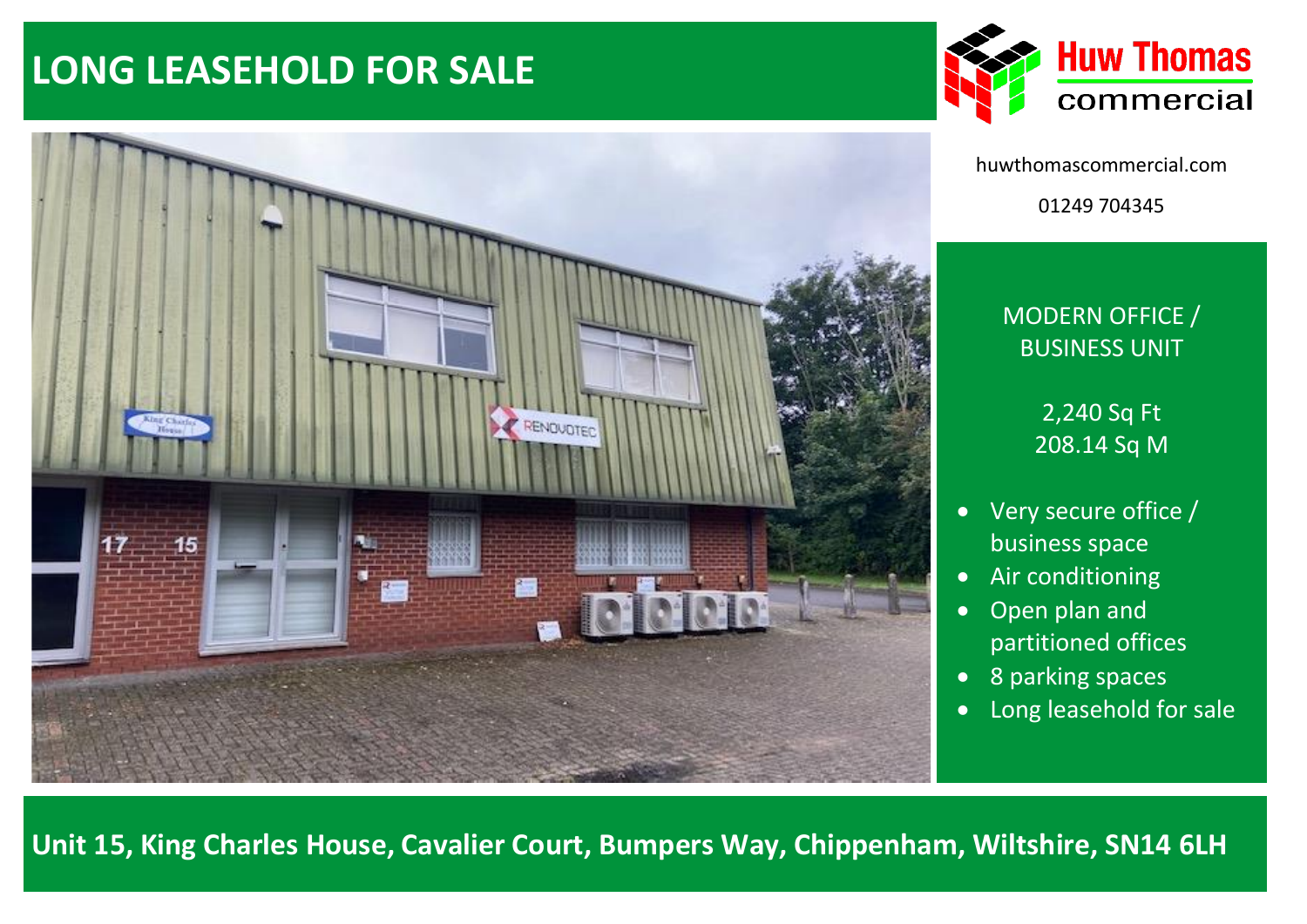# **LONG LEASEHOLD FOR SALE**





huwthomascommercial.com 01249 704345

# MODERN OFFICE / BUSINESS UNIT

2,240 Sq Ft 208.14 Sq M

- Very secure office / business space
- Air conditioning
- Open plan and partitioned offices
- 8 parking spaces
- Long leasehold for sale

**Unit 15, King Charles House, Cavalier Court, Bumpers Way, Chippenham, Wiltshire, SN14 6LH**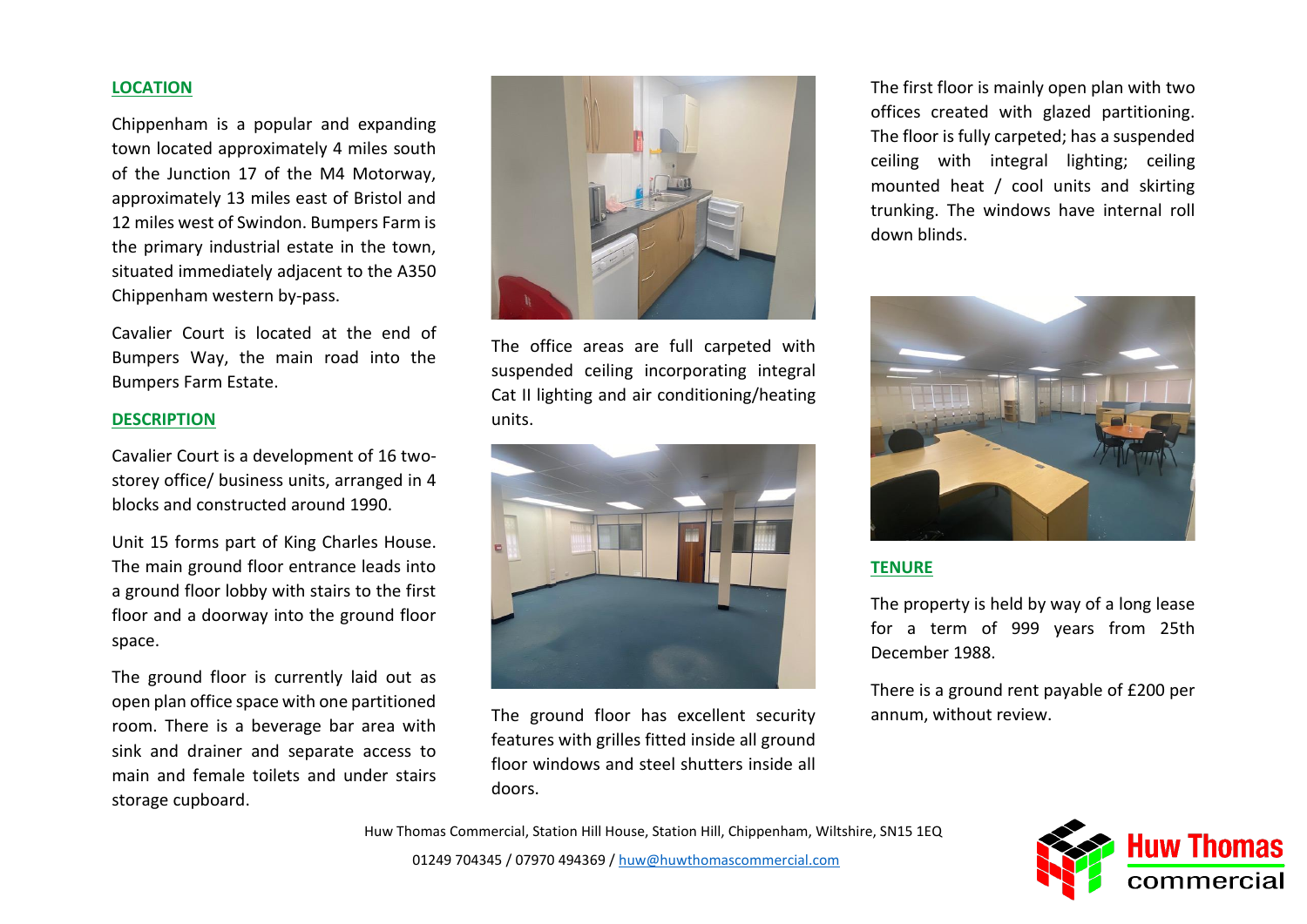# **LOCATION**

Chippenham is a popular and expanding town located approximately 4 miles south of the Junction 17 of the M4 Motorway, approximately 13 miles east of Bristol and 12 miles west of Swindon. Bumpers Farm is the primary industrial estate in the town, situated immediately adjacent to the A350 Chippenham western by-pass.

Cavalier Court is located at the end of Bumpers Way, the main road into the Bumpers Farm Estate.

# **DESCRIPTION**

Cavalier Court is a development of 16 twostorey office/ business units, arranged in 4 blocks and constructed around 1990.

Unit 15 forms part of King Charles House. The main ground floor entrance leads into a ground floor lobby with stairs to the first floor and a doorway into the ground floor space.

The ground floor is currently laid out as open plan office space with one partitioned room. There is a beverage bar area with sink and drainer and separate access to main and female toilets and under stairs storage cupboard.



The office areas are full carpeted with suspended ceiling incorporating integral Cat II lighting and air conditioning/heating units.



The ground floor has excellent security features with grilles fitted inside all ground floor windows and steel shutters inside all doors.

The first floor is mainly open plan with two offices created with glazed partitioning. The floor is fully carpeted; has a suspended ceiling with integral lighting; ceiling mounted heat / cool units and skirting trunking. The windows have internal roll down blinds.



## **TENURE**

The property is held by way of a long lease for a term of 999 years from 25th December 1988.

There is a ground rent payable of £200 per annum, without review.

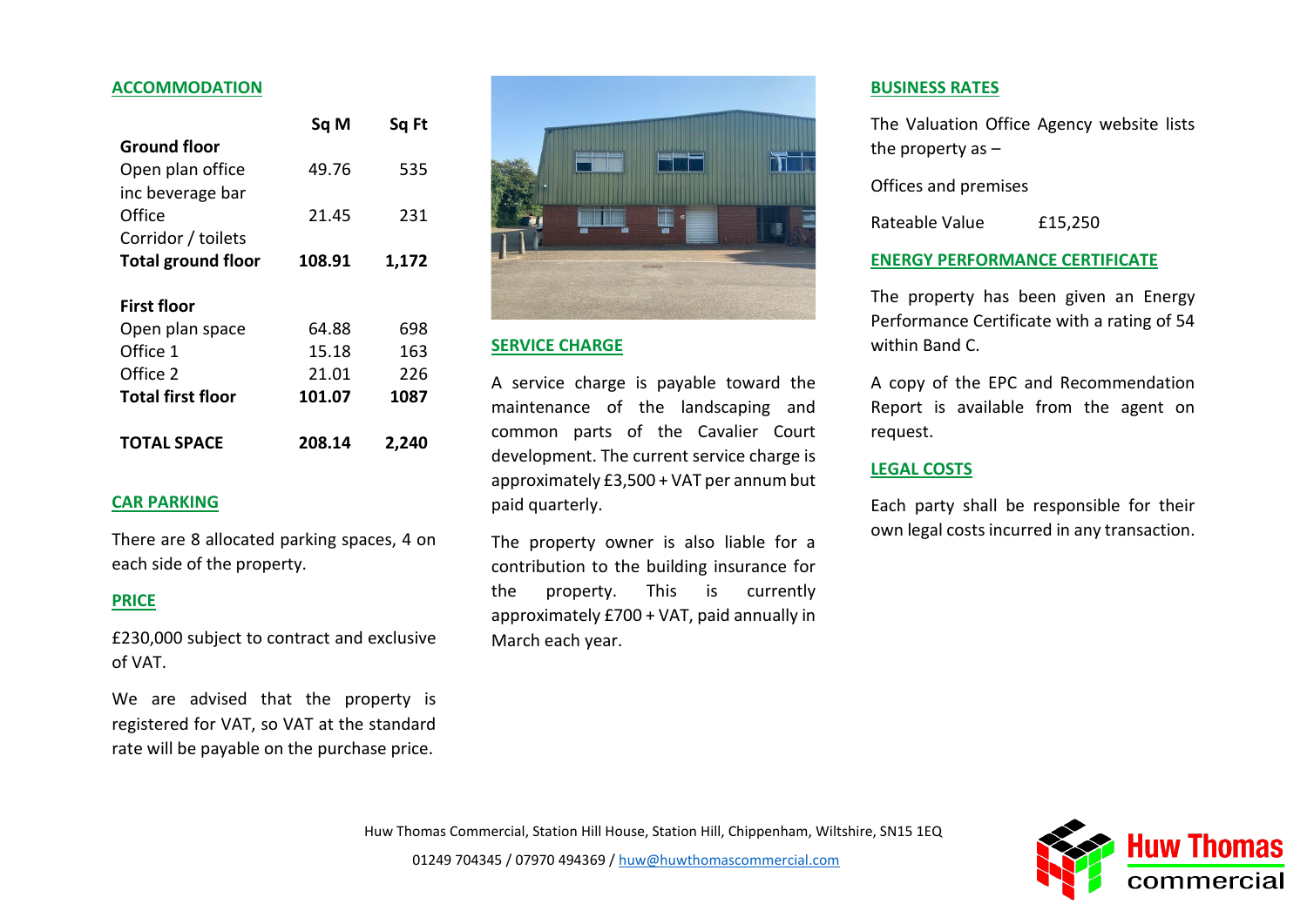#### **ACCOMMODATION**

| 535  |
|------|
|      |
| 231  |
|      |
|      |
|      |
|      |
| 698  |
| 163  |
| 226  |
| 1087 |
|      |

#### **CAR PARKING**

There are 8 allocated parking spaces, 4 on each side of the property.

# **PRICE**

£230,000 subject to contract and exclusive of VAT.

We are advised that the property is registered for VAT, so VAT at the standard rate will be payable on the purchase price.



#### **SERVICE CHARGE**

A service charge is payable toward the maintenance of the landscaping and common parts of the Cavalier Court development. The current service charge is approximately £3,500 + VAT per annum but paid quarterly.

The property owner is also liable for a contribution to the building insurance for the property. This is currently approximately £700 + VAT, paid annually in March each year.

#### **BUSINESS RATES**

The Valuation Office Agency website lists the property as –

Offices and premises

Rateable Value £15,250

#### **ENERGY PERFORMANCE CERTIFICATE**

The property has been given an Energy Performance Certificate with a rating of 54 within Band C.

A copy of the EPC and Recommendation Report is available from the agent on request.

#### **LEGAL COSTS**

Each party shall be responsible for their own legal costs incurred in any transaction.